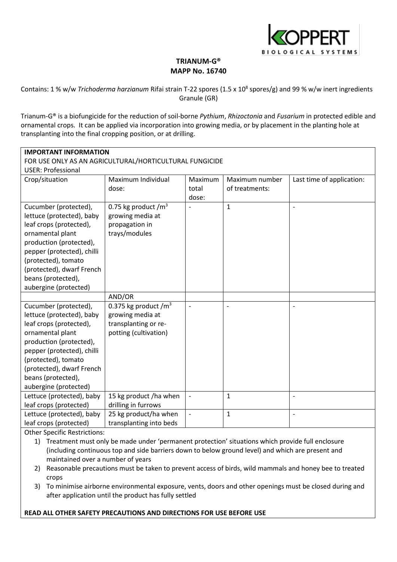

# **TRIANUM-G® MAPP No. 16740**

Contains: 1 % w/w *Trichoderma harzianum* Rifai strain T-22 spores (1.5 x 10<sup>8</sup> spores/g) and 99 % w/w inert ingredients Granule (GR)

Trianum-G® is a biofungicide for the reduction of soil-borne *Pythium*, *Rhizoctonia* and *Fusarium* in protected edible and ornamental crops. It can be applied via incorporation into growing media, or by placement in the planting hole at transplanting into the final cropping position, or at drilling.

| <b>IMPORTANT INFORMATION</b>                            |                         |                          |                |                           |
|---------------------------------------------------------|-------------------------|--------------------------|----------------|---------------------------|
| FOR USE ONLY AS AN AGRICULTURAL/HORTICULTURAL FUNGICIDE |                         |                          |                |                           |
| <b>USER: Professional</b>                               |                         |                          |                |                           |
| Crop/situation                                          | Maximum Individual      | Maximum                  | Maximum number | Last time of application: |
|                                                         | dose:                   | total                    | of treatments: |                           |
|                                                         |                         | dose:                    |                |                           |
| Cucumber (protected),                                   | 0.75 kg product $/m^3$  |                          | $\mathbf{1}$   | $\overline{\phantom{a}}$  |
| lettuce (protected), baby                               | growing media at        |                          |                |                           |
| leaf crops (protected),                                 | propagation in          |                          |                |                           |
| ornamental plant                                        | trays/modules           |                          |                |                           |
| production (protected),                                 |                         |                          |                |                           |
| pepper (protected), chilli                              |                         |                          |                |                           |
| (protected), tomato                                     |                         |                          |                |                           |
| (protected), dwarf French                               |                         |                          |                |                           |
| beans (protected),                                      |                         |                          |                |                           |
| aubergine (protected)                                   |                         |                          |                |                           |
|                                                         | AND/OR                  |                          |                |                           |
| Cucumber (protected),                                   | 0.375 kg product $/m^3$ |                          |                |                           |
| lettuce (protected), baby                               | growing media at        |                          |                |                           |
| leaf crops (protected),                                 | transplanting or re-    |                          |                |                           |
| ornamental plant                                        | potting (cultivation)   |                          |                |                           |
| production (protected),                                 |                         |                          |                |                           |
| pepper (protected), chilli                              |                         |                          |                |                           |
| (protected), tomato                                     |                         |                          |                |                           |
| (protected), dwarf French                               |                         |                          |                |                           |
| beans (protected),                                      |                         |                          |                |                           |
| aubergine (protected)                                   |                         |                          |                |                           |
| Lettuce (protected), baby                               | 15 kg product /ha when  | $\overline{\phantom{a}}$ | $\mathbf{1}$   | $\overline{a}$            |
| leaf crops (protected)                                  | drilling in furrows     |                          |                |                           |
| Lettuce (protected), baby                               | 25 kg product/ha when   | $\blacksquare$           | $\mathbf{1}$   | $\overline{\phantom{m}}$  |
| leaf crops (protected)                                  | transplanting into beds |                          |                |                           |

Other Specific Restrictions:

- 1) Treatment must only be made under 'permanent protection' situations which provide full enclosure (including continuous top and side barriers down to below ground level) and which are present and maintained over a number of years
- 2) Reasonable precautions must be taken to prevent access of birds, wild mammals and honey bee to treated crops
- 3) To minimise airborne environmental exposure, vents, doors and other openings must be closed during and after application until the product has fully settled

# **READ ALL OTHER SAFETY PRECAUTIONS AND DIRECTIONS FOR USE BEFORE USE**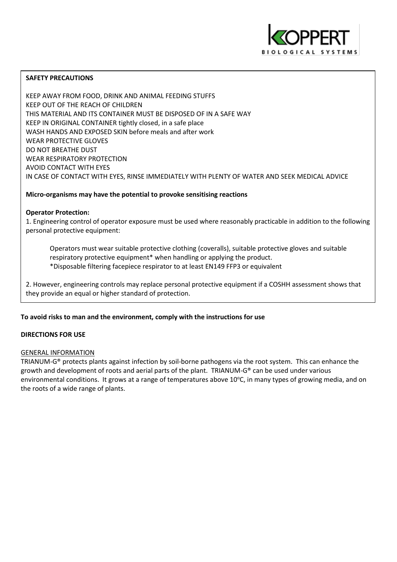

# **SAFETY PRECAUTIONS**

KEEP AWAY FROM FOOD, DRINK AND ANIMAL FEEDING STUFFS KEEP OUT OF THE REACH OF CHILDREN THIS MATERIAL AND ITS CONTAINER MUST BE DISPOSED OF IN A SAFE WAY KEEP IN ORIGINAL CONTAINER tightly closed, in a safe place WASH HANDS AND EXPOSED SKIN before meals and after work WEAR PROTECTIVE GLOVES DO NOT BREATHE DUST WEAR RESPIRATORY PROTECTION AVOID CONTACT WITH EYES IN CASE OF CONTACT WITH EYES, RINSE IMMEDIATELY WITH PLENTY OF WATER AND SEEK MEDICAL ADVICE

# **Micro-organisms may have the potential to provoke sensitising reactions**

# **Operator Protection:**

1. Engineering control of operator exposure must be used where reasonably practicable in addition to the following personal protective equipment:

Operators must wear suitable protective clothing (coveralls), suitable protective gloves and suitable respiratory protective equipment\* when handling or applying the product. \*Disposable filtering facepiece respirator to at least EN149 FFP3 or equivalent

2. However, engineering controls may replace personal protective equipment if a COSHH assessment shows that they provide an equal or higher standard of protection.

# **To avoid risks to man and the environment, comply with the instructions for use**

# **DIRECTIONS FOR USE**

# GENERAL INFORMATION

TRIANUM-G® protects plants against infection by soil-borne pathogens via the root system. This can enhance the growth and development of roots and aerial parts of the plant. TRIANUM-G® can be used under various environmental conditions. It grows at a range of temperatures above 10 $^{\circ}$ C, in many types of growing media, and on the roots of a wide range of plants.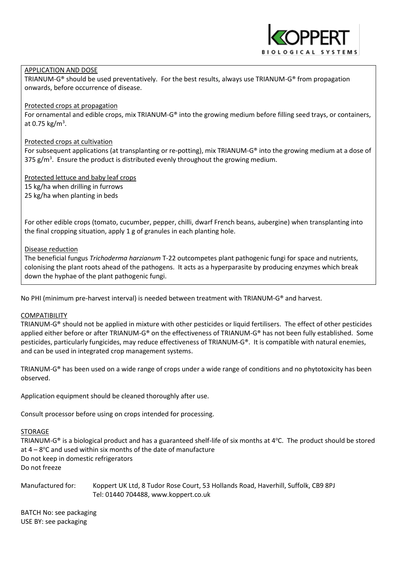# APPLICATION AND DOSE

TRIANUM-G® should be used preventatively. For the best results, always use TRIANUM-G® from propagation onwards, before occurrence of disease.

# Protected crops at propagation

For ornamental and edible crops, mix TRIANUM-G® into the growing medium before filling seed trays, or containers, at 0.75 kg/m<sup>3</sup>.

# Protected crops at cultivation

For subsequent applications (at transplanting or re-potting), mix TRIANUM-G® into the growing medium at a dose of 375 g/m<sup>3</sup>. Ensure the product is distributed evenly throughout the growing medium.

Protected lettuce and baby leaf crops 15 kg/ha when drilling in furrows 25 kg/ha when planting in beds

For other edible crops (tomato, cucumber, pepper, chilli, dwarf French beans, aubergine) when transplanting into the final cropping situation, apply 1 g of granules in each planting hole.

# Disease reduction

The beneficial fungus *Trichoderma harzianum* T-22 outcompetes plant pathogenic fungi for space and nutrients, colonising the plant roots ahead of the pathogens. It acts as a hyperparasite by producing enzymes which break down the hyphae of the plant pathogenic fungi.

No PHI (minimum pre-harvest interval) is needed between treatment with TRIANUM-G® and harvest.

# COMPATIBILITY

TRIANUM-G® should not be applied in mixture with other pesticides or liquid fertilisers. The effect of other pesticides applied either before or after TRIANUM-G® on the effectiveness of TRIANUM-G® has not been fully established. Some pesticides, particularly fungicides, may reduce effectiveness of TRIANUM-G®. It is compatible with natural enemies, and can be used in integrated crop management systems.

TRIANUM-G® has been used on a wide range of crops under a wide range of conditions and no phytotoxicity has been observed.

Application equipment should be cleaned thoroughly after use.

Consult processor before using on crops intended for processing.

# STORAGE

TRIANUM-G<sup>®</sup> is a biological product and has a guaranteed shelf-life of six months at  $4^{\circ}$ C. The product should be stored at  $4-8$ °C and used within six months of the date of manufacture Do not keep in domestic refrigerators Do not freeze

Manufactured for: Koppert UK Ltd, 8 Tudor Rose Court, 53 Hollands Road, Haverhill, Suffolk, CB9 8PJ Tel: 01440 704488, www.koppert.co.uk

BATCH No: see packaging USE BY: see packaging